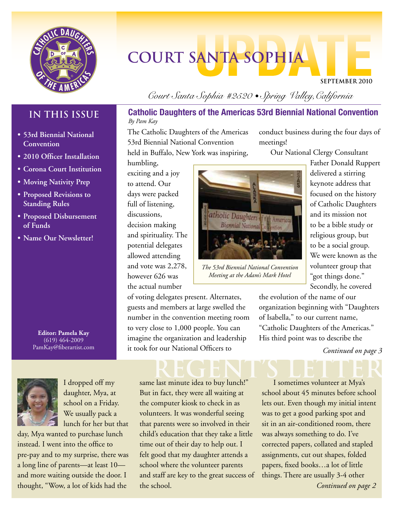

# **COURT SANTA SOPHIA**

**September 2010**

# **IN THIS ISSUE**

- **• 53rd Biennial National Convention**
- **• 2010 Officer Installation**
- **• Corona Court Institution**
- **• Moving Nativity Prep**
- **• Proposed Revisions to Standing Rules**
- **• Proposed Disbursement of Funds**
- **• Name Our Newsletter!**

**Editor: Pamela Kay** (619) 464-2009 PamKay@fiberartist.com



I dropped off my daughter, Mya, at school on a Friday. We usually pack a lunch for her but that

day, Mya wanted to purchase lunch instead. I went into the office to pre-pay and to my surprise, there was a long line of parents—at least 10 and more waiting outside the door. I thought, "Wow, a lot of kids had the

# *Court Santa Sophia #2520 • Spring Valley,California*

## **Catholic Daughters of the Americas 53rd Biennial National Convention** *By Pam Kay*

The Catholic Daughters of the Americas 53rd Biennial National Convention held in Buffalo, New York was inspiring,

humbling, exciting and a joy to attend. Our days were packed full of listening, discussions, decision making and spirituality. The potential delegates allowed attending and vote was 2,278, however 626 was the actual number

of voting delegates present. Alternates, guests and members at large swelled the number in the convention meeting room to very close to 1,000 people. You can imagine the organization and leadership it took for our National Officers to

# REGENT'S LETTER

same last minute idea to buy lunch!" But in fact, they were all waiting at the computer kiosk to check in as volunteers. It was wonderful seeing that parents were so involved in their child's education that they take a little time out of their day to help out. I felt good that my daughter attends a school where the volunteer parents and staff are key to the great success of the school.

conduct business during the four days of meetings!

Our National Clergy Consultant

atholic Daughters of the Americas **Biennial National** 

*The 53rd Biennial National Convention Meeting at the Adam's Mark Hotel*

Father Donald Ruppert delivered a stirring keynote address that focused on the history of Catholic Daughters and its mission not to be a bible study or religious group, but to be a social group. We were known as the volunteer group that "got things done." Secondly, he covered

the evolution of the name of our organization beginning with "Daughters of Isabella," to our current name, "Catholic Daughters of the Americas." His third point was to describe the

*Continued on page 3*

I sometimes volunteer at Mya's school about 45 minutes before school lets out. Even though my initial intent was to get a good parking spot and sit in an air-conditioned room, there was always something to do. I've corrected papers, collated and stapled assignments, cut out shapes, folded papers, fixed books…a lot of little things. There are usually 3-4 other *Continued on page 2*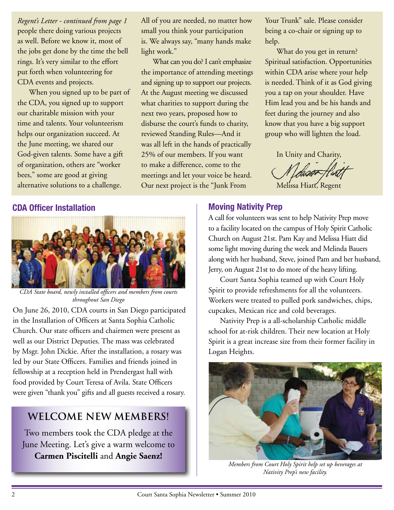people there doing various projects as well. Before we know it, most of the jobs get done by the time the bell rings. It's very similar to the effort put forth when volunteering for CDA events and projects. *Regent's Letter - continued from page 1*

When you signed up to be part of the CDA, you signed up to support our charitable mission with your time and talents. Your volunteerism helps our organization succeed. At the June meeting, we shared our God-given talents. Some have a gift of organization, others are "worker bees," some are good at giving alternative solutions to a challenge.

All of you are needed, no matter how small you think your participation is. We always say, "many hands make light work."

What can you do? I can't emphasize the importance of attending meetings and signing up to support our projects. At the August meeting we discussed what charities to support during the next two years, proposed how to disburse the court's funds to charity, reviewed Standing Rules—And it was all left in the hands of practically 25% of our members. If you want to make a difference, come to the meetings and let your voice be heard. Our next project is the "Junk From

Your Trunk" sale. Please consider being a co-chair or signing up to help.

What do you get in return? Spiritual satisfaction. Opportunities within CDA arise where your help is needed. Think of it as God giving you a tap on your shoulder. Have Him lead you and be his hands and feet during the journey and also know that you have a big support group who will lighten the load.

In Unity and Charity,

Melissa Hiatt, Regent

# **CDA Officer Installation**



*CDA State board, newly installed officers and members from courts throughout San Diego*

On June 26, 2010, CDA courts in San Diego participated in the Installation of Officers at Santa Sophia Catholic Church. Our state officers and chairmen were present as well as our District Deputies. The mass was celebrated by Msgr. John Dickie. After the installation, a rosary was led by our State Officers. Families and friends joined in fellowship at a reception held in Prendergast hall with food provided by Court Teresa of Avila. State Officers were given "thank you" gifts and all guests received a rosary.

# **Welcome NEW MEMBERS!**

Two members took the CDA pledge at the June Meeting. Let's give a warm welcome to **Carmen Piscitelli** and **Angie Saenz!**

# **Moving Nativity Prep**

A call for volunteers was sent to help Nativity Prep move to a facility located on the campus of Holy Spirit Catholic Church on August 21st. Pam Kay and Melissa Hiatt did some light moving during the week and Melinda Bauers along with her husband, Steve, joined Pam and her husband, Jerry, on August 21st to do more of the heavy lifting.

Court Santa Sophia teamed up with Court Holy Spirit to provide refreshments for all the volunteers. Workers were treated to pulled pork sandwiches, chips, cupcakes, Mexican rice and cold beverages.

Nativity Prep is a all-scholarship Catholic middle school for at-risk children. Their new location at Holy Spirit is a great increase size from their former facility in Logan Heights.



*Members from Court Holy Spirit help set up beverages at Nativity Prep's new facility.*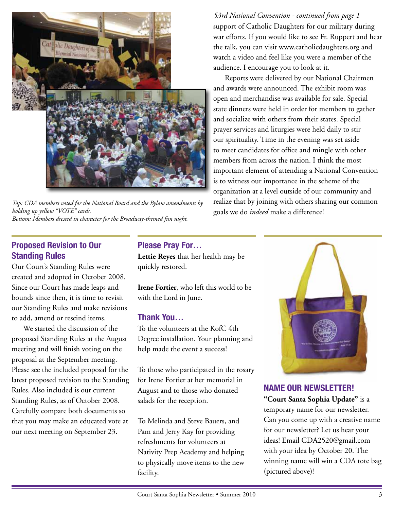

*Top: CDA members voted for the National Board and the Bylaw amendments by holding up yellow "VOTE" cards. Bottom: Members dressed in character for the Broadway-themed fun night.* 

# **Proposed Revision to Our Standing Rules**

Our Court's Standing Rules were created and adopted in October 2008. Since our Court has made leaps and bounds since then, it is time to revisit our Standing Rules and make revisions to add, amend or rescind items.

We started the discussion of the proposed Standing Rules at the August meeting and will finish voting on the proposal at the September meeting. Please see the included proposal for the latest proposed revision to the Standing Rules. Also included is our current Standing Rules, as of October 2008. Carefully compare both documents so that you may make an educated vote at our next meeting on September 23.

# **Please Pray For…**

**Lettie Reyes** that her health may be quickly restored.

**Irene Fortier**, who left this world to be with the Lord in June.

# **Thank You…**

To the volunteers at the KofC 4th Degree installation. Your planning and help made the event a success!

To those who participated in the rosary for Irene Fortier at her memorial in August and to those who donated salads for the reception.

To Melinda and Steve Bauers, and Pam and Jerry Kay for providing refreshments for volunteers at Nativity Prep Academy and helping to physically move items to the new facility.

support of Catholic Daughters for our military during war efforts. If you would like to see Fr. Ruppert and hear the talk, you can visit www.catholicdaughters.org and watch a video and feel like you were a member of the audience. I encourage you to look at it. *53rd National Convention - continued from page 1*

Reports were delivered by our National Chairmen and awards were announced. The exhibit room was open and merchandise was available for sale. Special state dinners were held in order for members to gather and socialize with others from their states. Special prayer services and liturgies were held daily to stir our spirituality. Time in the evening was set aside to meet candidates for office and mingle with other members from across the nation. I think the most important element of attending a National Convention is to witness our importance in the scheme of the organization at a level outside of our community and realize that by joining with others sharing our common goals we do *indeed* make a difference!



# **NAME OUR NEWSLETTER!**

**"Court Santa Sophia Update"** is a temporary name for our newsletter. Can you come up with a creative name for our newsletter? Let us hear your ideas! Email CDA2520@gmail.com with your idea by October 20. The winning name will win a CDA tote bag (pictured above)!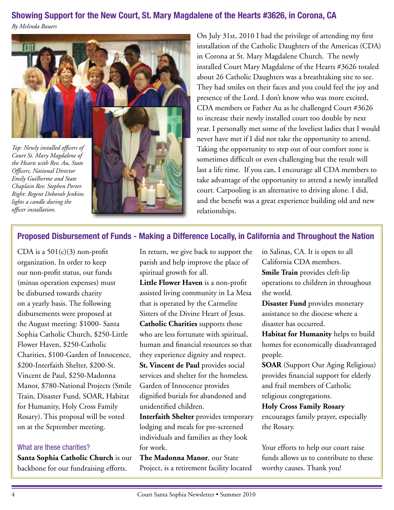# **Showing Support for the New Court, St. Mary Magdalene of the Hearts #3626, in Corona, CA**

*By Melinda Bauers*



*Court St. Mary Magdalene of the Hearts with Rev. Au, State Officers, National Director Emily Guilherme and State Chaplain Rev. Stephen Porter. Right: Regent Deborah Jenkins lights a candle during the officer installation.*



On July 31st, 2010 I had the privilege of attending my first installation of the Catholic Daughters of the Americas (CDA) in Corona at St. Mary Magdalene Church. The newly installed Court Mary Magdalene of the Hearts #3626 totaled about 26 Catholic Daughters was a breathtaking site to see. They had smiles on their faces and you could feel the joy and presence of the Lord. I don't know who was more excited, CDA members or Father Au as he challenged Court #3626 to increase their newly installed court too double by next year. I personally met some of the loveliest ladies that I would never have met if I did not take the opportunity to attend. Taking the opportunity to step out of our comfort zone is sometimes difficult or even challenging but the result will last a life time. If you can, I encourage all CDA members to take advantage of the opportunity to attend a newly installed court. Carpooling is an alternative to driving alone. I did, and the benefit was a great experience building old and new relationships.

# **Proposed Disbursement of Funds - Making a Difference Locally, in California and Throughout the Nation**

CDA is a  $501(c)(3)$  non-profit organization. In order to keep our non-profit status, our funds (minus operation expenses) must be disbursed towards charity on a yearly basis. The following disbursements were proposed at the August meeting: \$1000- Santa Sophia Catholic Church, \$250-Little Flower Haven, \$250-Catholic Charities, \$100-Garden of Innocence, \$200-Interfaith Shelter, \$200-St. Vincent de Paul, \$250-Madonna Manor, \$780-National Projects (Smile Train, Disaster Fund, SOAR, Habitat for Humanity, Holy Cross Family Rosary). This proposal will be voted on at the September meeting.

### What are these charities?

**Santa Sophia Catholic Church** is our backbone for our fundraising efforts.

In return, we give back to support the parish and help improve the place of spiritual growth for all.

**Little Flower Haven** is a non-profit assisted living community in La Mesa that is operated by the Carmelite Sisters of the Divine Heart of Jesus. **Catholic Charities** supports those who are less fortunate with spiritual, human and financial resources so that they experience dignity and respect. **St. Vincent de Paul** provides social services and shelter for the homeless. Garden of Innocence provides dignified burials for abandoned and unidentified children.

**Interfaith Shelter** provides temporary lodging and meals for pre-screened individuals and families as they look for work.

**The Madonna Manor**, our State Project, is a retirement facility located

in Salinas, CA. It is open to all California CDA members. **Smile Train** provides cleft-lip operations to children in throughout the world.

**Disaster Fund** provides monetary assistance to the diocese where a disaster has occurred.

**Habitat for Humanity** helps to build homes for economically disadvantaged people.

**SOAR** (Support Our Aging Religious) provides financial support for elderly and frail members of Catholic religious congregations.

### **Holy Cross Family Rosary**

encourages family prayer, especially the Rosary.

Your efforts to help our court raise funds allows us to contribute to these worthy causes. Thank you!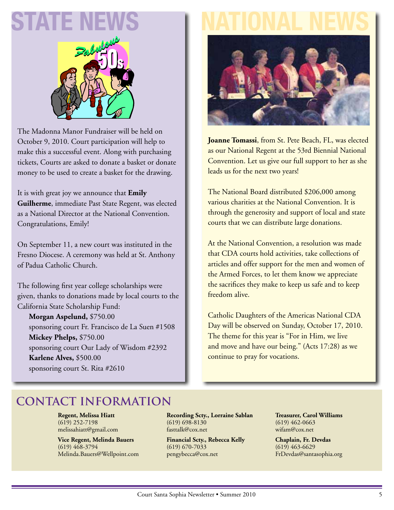

The Madonna Manor Fundraiser will be held on October 9, 2010. Court participation will help to make this a successful event. Along with purchasing tickets, Courts are asked to donate a basket or donate money to be used to create a basket for the drawing.

It is with great joy we announce that **Emily Guilherme**, immediate Past State Regent, was elected as a National Director at the National Convention. Congratulations, Emily!

On September 11, a new court was instituted in the Fresno Diocese. A ceremony was held at St. Anthony of Padua Catholic Church.

The following first year college scholarships were given, thanks to donations made by local courts to the California State Scholarship Fund:

**Morgan Aspelund,** \$750.00 sponsoring court Fr. Francisco de La Suen #1508 **Mickey Phelps,** \$750.00 sponsoring court Our Lady of Wisdom #2392 **Karlene Alves,** \$500.00 sponsoring court St. Rita #2610

# **STATE NEWS | NATIONAL NEWS**



**Joanne Tomassi**, from St. Pete Beach, FL, was elected as our National Regent at the 53rd Biennial National Convention. Let us give our full support to her as she leads us for the next two years!

The National Board distributed \$206,000 among various charities at the National Convention. It is through the generosity and support of local and state courts that we can distribute large donations.

At the National Convention, a resolution was made that CDA courts hold activities, take collections of articles and offer support for the men and women of the Armed Forces, to let them know we appreciate the sacrifices they make to keep us safe and to keep freedom alive.

Catholic Daughters of the Americas National CDA Day will be observed on Sunday, October 17, 2010. The theme for this year is "For in Him, we live and move and have our being." (Acts 17:28) as we continue to pray for vocations.

# **Contact Information**

**Regent, Melissa Hiatt** (619) 252-7198 melissahiatt@gmail.com

**Vice Regent, Melinda Bauers** (619) 468-3794 Melinda.Bauers@Wellpoint.com **Recording Scty., Lorraine Sablan** (619) 698-8130 fasttalk@cox.net

**Financial Scty., Rebecca Kelly** (619) 670-7033 pengybecca@cox.net

**Treasurer, Carol Williams** (619) 462-0663 wifam@cox.net

**Chaplain, Fr. Devdas** (619) 463-6629 FrDevdas@santasophia.org